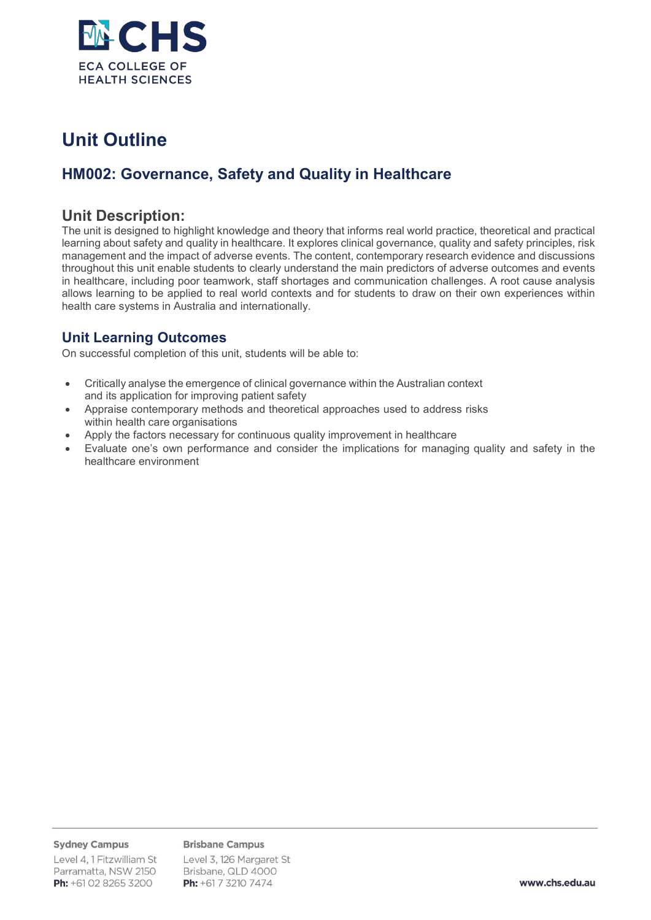

# **Unit Outline**

## **HM002: Governance, Safety and Quality in Healthcare**

### **Unit Description:**

The unit is designed to highlight knowledge and theory that informs real world practice, theoretical and practical learning about safety and quality in healthcare. It explores clinical governance, quality and safety principles, risk management and the impact of adverse events. The content, contemporary research evidence and discussions throughout this unit enable students to clearly understand the main predictors of adverse outcomes and events in healthcare, including poor teamwork, staff shortages and communication challenges. A root cause analysis allows learning to be applied to real world contexts and for students to draw on their own experiences within health care systems in Australia and internationally.

### **Unit Learning Outcomes**

On successful completion of this unit, students will be able to:

- Critically analyse the emergence of clinical governance within the Australian context and its application for improving patient safety
- Appraise contemporary methods and theoretical approaches used to address risks within health care organisations
- Apply the factors necessary for continuous quality improvement in healthcare
- Evaluate one's own performance and consider the implications for managing quality and safety in the healthcare environment

#### **Sydney Campus**

**Brisbane Campus** 

Level 4, 1 Fitzwilliam St Parramatta, NSW 2150 Ph: +61 02 8265 3200

Level 3, 126 Margaret St Brisbane, QLD 4000 Ph: +61 7 3210 7474